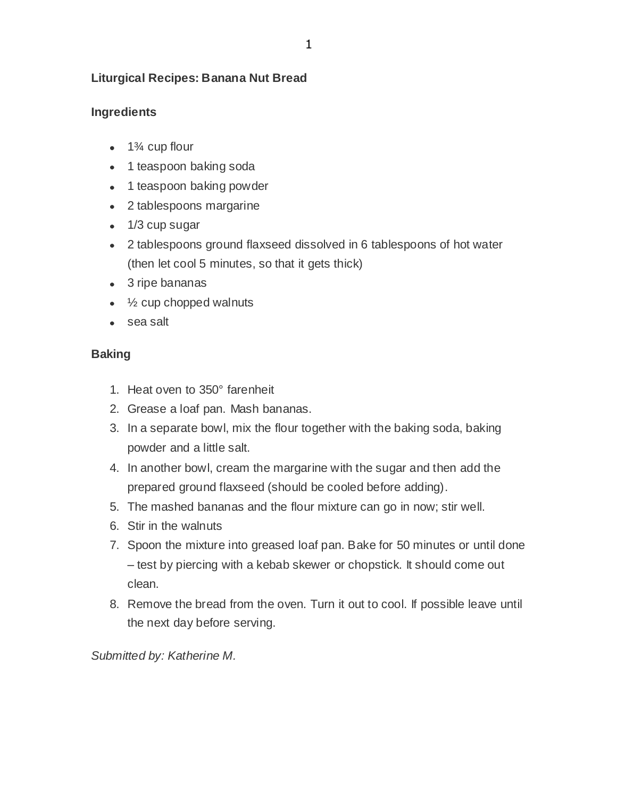## **Liturgical Recipes: Banana Nut Bread**

### **Ingredients**

- $\bullet$  1<sup>3</sup>/<sub>4</sub> cup flour
- 1 teaspoon baking soda
- 1 teaspoon baking powder
- 2 tablespoons margarine
- 1/3 cup sugar
- 2 tablespoons ground flaxseed dissolved in 6 tablespoons of hot water (then let cool 5 minutes, so that it gets thick)
- 3 ripe bananas
- $\cdot$   $\frac{1}{2}$  cup chopped walnuts
- sea salt

### **Baking**

- 1. Heat oven to 350° farenheit
- 2. Grease a loaf pan. Mash bananas.
- 3. In a separate bowl, mix the flour together with the baking soda, baking powder and a little salt.
- 4. In another bowl, cream the margarine with the sugar and then add the prepared ground flaxseed (should be cooled before adding).
- 5. The mashed bananas and the flour mixture can go in now; stir well.
- 6. Stir in the walnuts
- 7. Spoon the mixture into greased loaf pan. Bake for 50 minutes or until done – test by piercing with a kebab skewer or chopstick. It should come out clean.
- 8. Remove the bread from the oven. Turn it out to cool. If possible leave until the next day before serving.

*Submitted by: Katherine M.*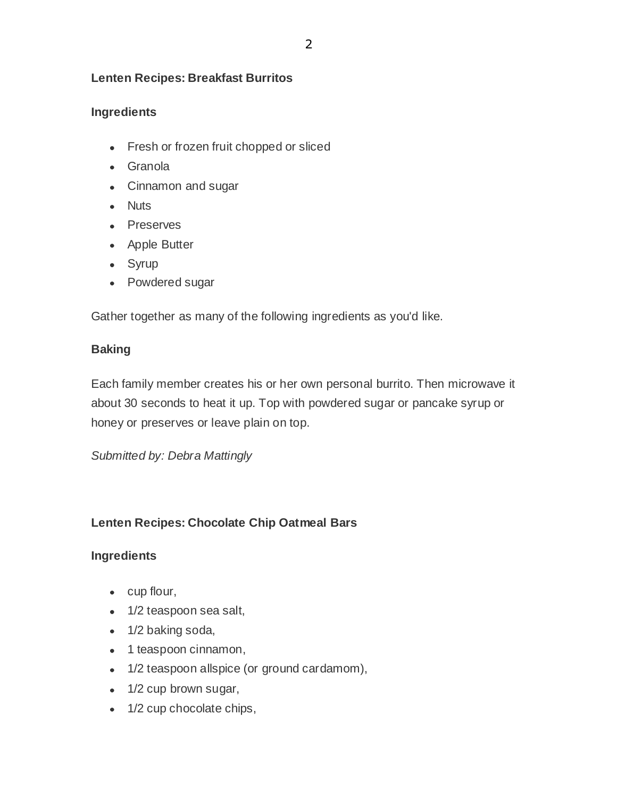### **Lenten Recipes: Breakfast Burritos**

## **Ingredients**

- Fresh or frozen fruit chopped or sliced
- Granola
- Cinnamon and sugar
- Nuts
- Preserves
- Apple Butter
- Syrup
- Powdered sugar

Gather together as many of the following ingredients as you'd like.

## **Baking**

Each family member creates his or her own personal burrito. Then microwave it about 30 seconds to heat it up. Top with powdered sugar or pancake syrup or honey or preserves or leave plain on top.

*Submitted by: Debra Mattingly*

# **Lenten Recipes: Chocolate Chip Oatmeal Bars**

### **Ingredients**

- cup flour,
- 1/2 teaspoon sea salt,
- 1/2 baking soda,
- 1 teaspoon cinnamon,
- 1/2 teaspoon allspice (or ground cardamom),
- 1/2 cup brown sugar,
- 1/2 cup chocolate chips,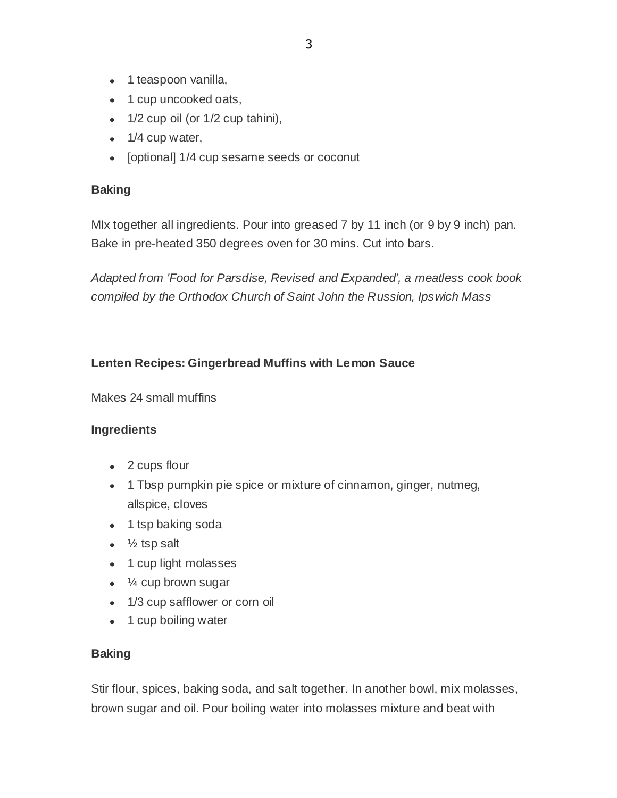- 1 teaspoon vanilla,
- 1 cup uncooked oats,
- $\bullet$  1/2 cup oil (or 1/2 cup tahini),
- $\bullet$  1/4 cup water,
- [optional] 1/4 cup sesame seeds or coconut

### **Baking**

MIx together all ingredients. Pour into greased 7 by 11 inch (or 9 by 9 inch) pan. Bake in pre-heated 350 degrees oven for 30 mins. Cut into bars.

*Adapted from 'Food for Parsdise, Revised and Expanded', a meatless cook book compiled by the Orthodox Church of Saint John the Russion, Ipswich Mass*

### **Lenten Recipes: Gingerbread Muffins with Lemon Sauce**

Makes 24 small muffins

#### **Ingredients**

- 2 cups flour
- 1 Tbsp pumpkin pie spice or mixture of cinnamon, ginger, nutmeg, allspice, cloves
- 1 tsp baking soda
- $\bullet\quad$  1/<sub>2</sub> tsp salt
- 1 cup light molasses
- $\bullet$   $\frac{1}{4}$  cup brown sugar
- 1/3 cup safflower or corn oil
- 1 cup boiling water

### **Baking**

Stir flour, spices, baking soda, and salt together. In another bowl, mix molasses, brown sugar and oil. Pour boiling water into molasses mixture and beat with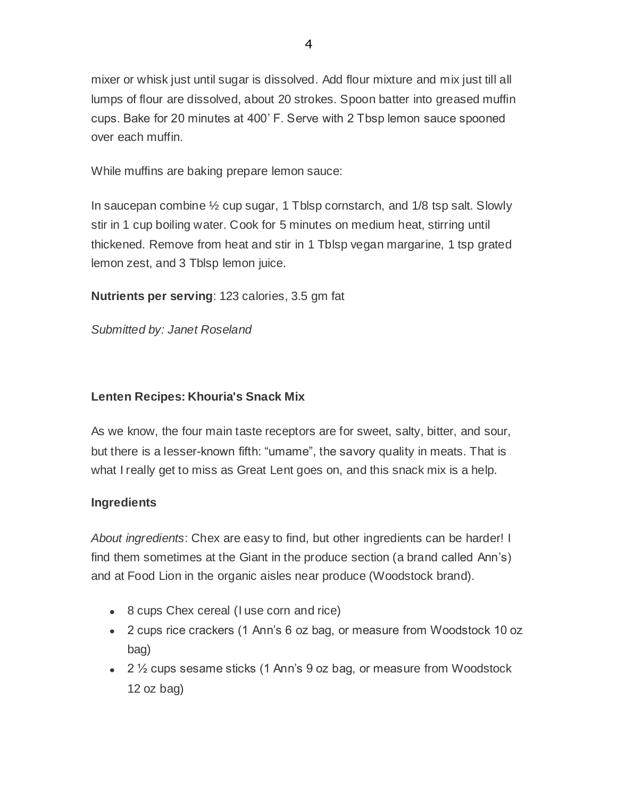mixer or whisk just until sugar is dissolved. Add flour mixture and mix just till all lumps of flour are dissolved, about 20 strokes. Spoon batter into greased muffin cups. Bake for 20 minutes at 400' F. Serve with 2 Tbsp lemon sauce spooned over each muffin.

While muffins are baking prepare lemon sauce:

In saucepan combine ½ cup sugar, 1 Tblsp cornstarch, and 1/8 tsp salt. Slowly stir in 1 cup boiling water. Cook for 5 minutes on medium heat, stirring until thickened. Remove from heat and stir in 1 Tblsp vegan margarine, 1 tsp grated lemon zest, and 3 Tblsp lemon juice.

**Nutrients per serving**: 123 calories, 3.5 gm fat

*Submitted by: Janet Roseland*

# **Lenten Recipes: Khouria's Snack Mix**

As we know, the four main taste receptors are for sweet, salty, bitter, and sour, but there is a lesser-known fifth: "umame", the savory quality in meats. That is what I really get to miss as Great Lent goes on, and this snack mix is a help.

# **Ingredients**

*About ingredients*: Chex are easy to find, but other ingredients can be harder! I find them sometimes at the Giant in the produce section (a brand called Ann's) and at Food Lion in the organic aisles near produce (Woodstock brand).

- 8 cups Chex cereal (I use corn and rice)
- 2 cups rice crackers (1 Ann's 6 oz bag, or measure from Woodstock 10 oz bag)
- 2 <sup>1</sup>/<sub>2</sub> cups sesame sticks (1 Ann's 9 oz bag, or measure from Woodstock 12 oz bag)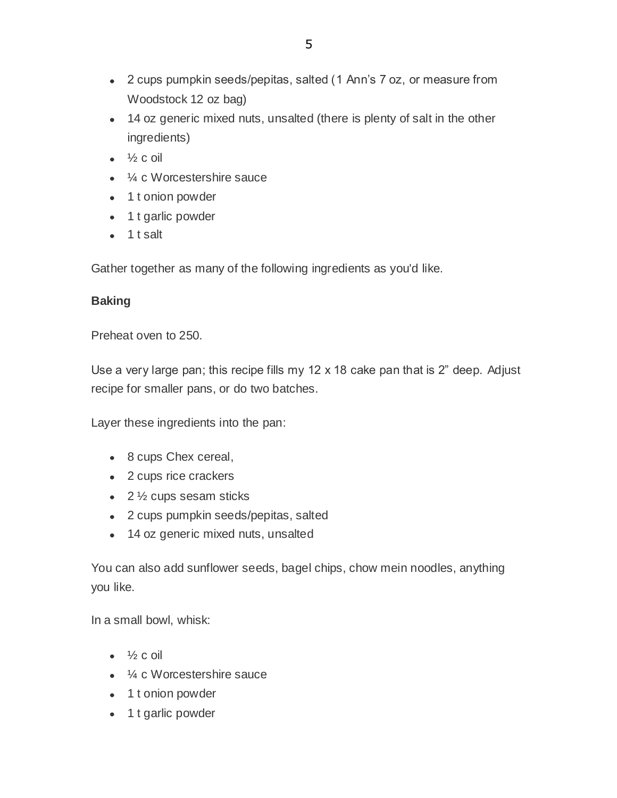- 2 cups pumpkin seeds/pepitas, salted (1 Ann's 7 oz, or measure from Woodstock 12 oz bag)
- 14 oz generic mixed nuts, unsalted (there is plenty of salt in the other ingredients)
- $\bullet$   $\frac{1}{2}$  c oil
- ¼ c Worcestershire sauce
- 1 t onion powder
- 1 t garlic powder
- $\bullet$  1 t salt

Gather together as many of the following ingredients as you'd like.

# **Baking**

Preheat oven to 250.

Use a very large pan; this recipe fills my  $12 \times 18$  cake pan that is  $2$ " deep. Adjust recipe for smaller pans, or do two batches.

Layer these ingredients into the pan:

- 8 cups Chex cereal,
- 2 cups rice crackers
- $\cdot$  2  $\frac{1}{2}$  cups sesam sticks
- 2 cups pumpkin seeds/pepitas, salted
- 14 oz generic mixed nuts, unsalted

You can also add sunflower seeds, bagel chips, chow mein noodles, anything you like.

In a small bowl, whisk:

- $\bullet$   $\frac{1}{2}$  c oil
- ¼ c Worcestershire sauce
- 1 t onion powder
- 1 t garlic powder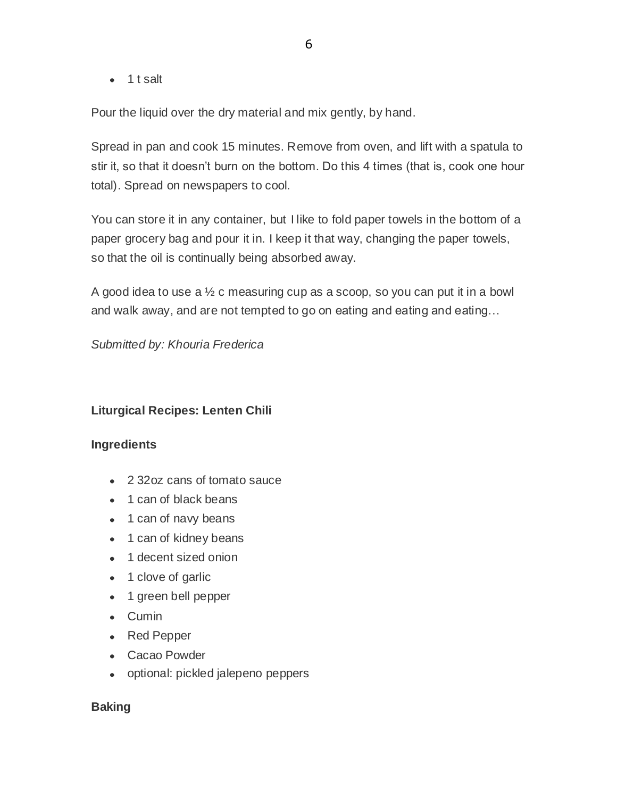$\bullet$  1 t salt

Pour the liquid over the dry material and mix gently, by hand.

Spread in pan and cook 15 minutes. Remove from oven, and lift with a spatula to stir it, so that it doesn't burn on the bottom. Do this 4 times (that is, cook one hour total). Spread on newspapers to cool.

You can store it in any container, but I like to fold paper towels in the bottom of a paper grocery bag and pour it in. I keep it that way, changing the paper towels, so that the oil is continually being absorbed away.

A good idea to use a ½ c measuring cup as a scoop, so you can put it in a bowl and walk away, and are not tempted to go on eating and eating and eating…

*Submitted by: Khouria Frederica*

### **Liturgical Recipes: Lenten Chili**

#### **Ingredients**

- 2 32oz cans of tomato sauce
- 1 can of black beans
- 1 can of navy beans
- 1 can of kidney beans
- 1 decent sized onion
- 1 clove of garlic
- 1 green bell pepper
- Cumin
- Red Pepper
- Cacao Powder
- optional: pickled jalepeno peppers

#### **Baking**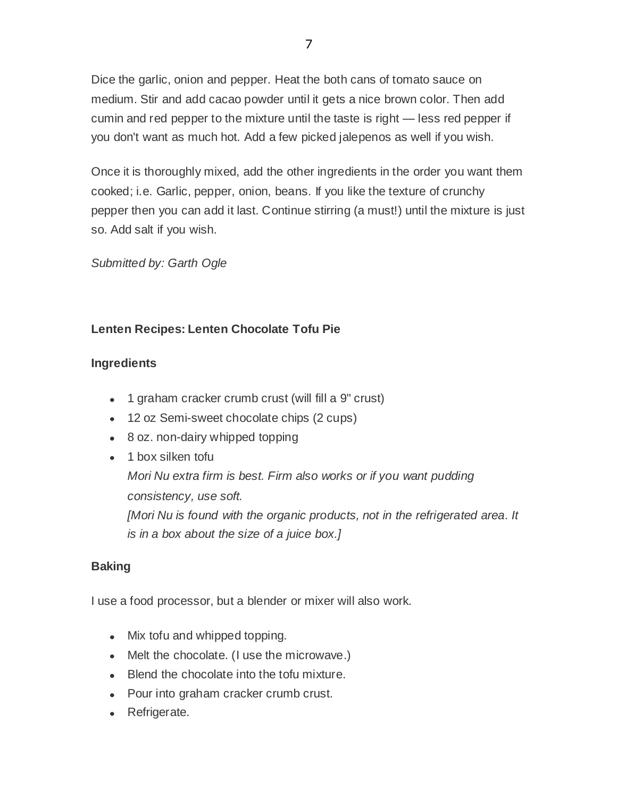Dice the garlic, onion and pepper. Heat the both cans of tomato sauce on medium. Stir and add cacao powder until it gets a nice brown color. Then add cumin and red pepper to the mixture until the taste is right — less red pepper if you don't want as much hot. Add a few picked jalepenos as well if you wish.

Once it is thoroughly mixed, add the other ingredients in the order you want them cooked; i.e. Garlic, pepper, onion, beans. If you like the texture of crunchy pepper then you can add it last. Continue stirring (a must!) until the mixture is just so. Add salt if you wish.

### *Submitted by: Garth Ogle*

# **Lenten Recipes: Lenten Chocolate Tofu Pie**

## **Ingredients**

- 1 graham cracker crumb crust (will fill a 9" crust)
- 12 oz Semi-sweet chocolate chips (2 cups)
- 8 oz. non-dairy whipped topping
- 1 box silken tofu *Mori Nu extra firm is best. Firm also works or if you want pudding consistency, use soft. [Mori Nu is found with the organic products, not in the refrigerated area. It is in a box about the size of a juice box.]*

# **Baking**

I use a food processor, but a blender or mixer will also work.

- Mix tofu and whipped topping.
- Melt the chocolate. (I use the microwave.)
- Blend the chocolate into the tofu mixture.
- Pour into graham cracker crumb crust.
- Refrigerate.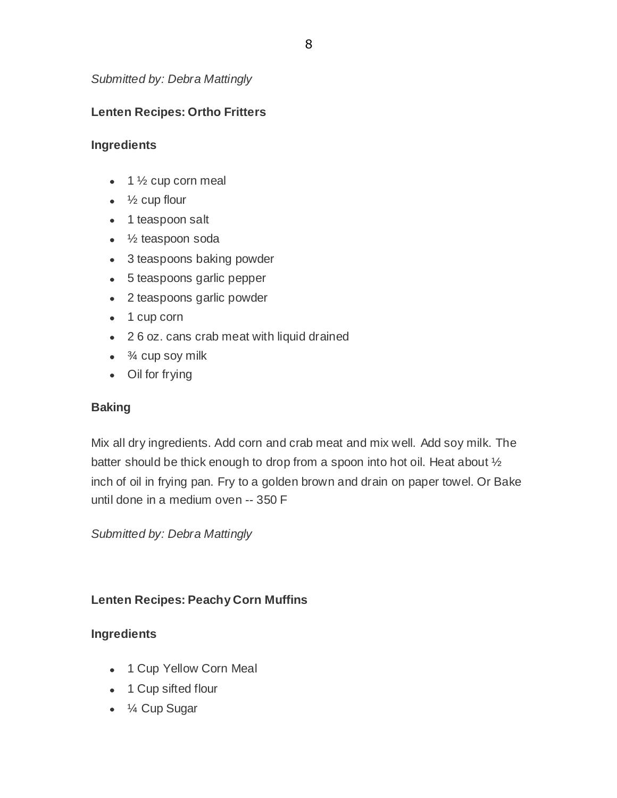*Submitted by: Debra Mattingly*

# **Lenten Recipes: Ortho Fritters**

### **Ingredients**

- $\bullet$  1  $\frac{1}{2}$  cup corn meal
- $\bullet\quad$  1/<sub>2</sub> cup flour
- 1 teaspoon salt
- $\cdot$   $\frac{1}{2}$  teaspoon soda
- 3 teaspoons baking powder
- 5 teaspoons garlic pepper
- 2 teaspoons garlic powder
- $\bullet$  1 cup corn
- 2 6 oz. cans crab meat with liquid drained
- $\cdot$   $\frac{3}{4}$  cup soy milk
- Oil for frying

### **Baking**

Mix all dry ingredients. Add corn and crab meat and mix well. Add soy milk. The batter should be thick enough to drop from a spoon into hot oil. Heat about  $\frac{1}{2}$ inch of oil in frying pan. Fry to a golden brown and drain on paper towel. Or Bake until done in a medium oven -- 350 F

*Submitted by: Debra Mattingly*

### **Lenten Recipes: Peachy Corn Muffins**

### **Ingredients**

- 1 Cup Yellow Corn Meal
- 1 Cup sifted flour
- ¼ Cup Sugar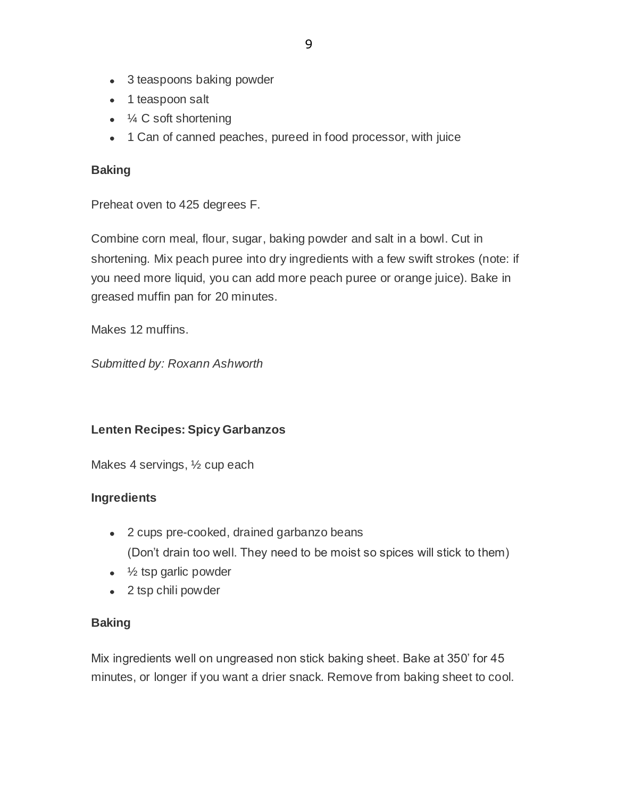- 3 teaspoons baking powder
- 1 teaspoon salt
- $\bullet$   $\frac{1}{4}$  C soft shortening
- 1 Can of canned peaches, pureed in food processor, with juice

### **Baking**

Preheat oven to 425 degrees F.

Combine corn meal, flour, sugar, baking powder and salt in a bowl. Cut in shortening. Mix peach puree into dry ingredients with a few swift strokes (note: if you need more liquid, you can add more peach puree or orange juice). Bake in greased muffin pan for 20 minutes.

Makes 12 muffins.

*Submitted by: Roxann Ashworth*

### **Lenten Recipes: Spicy Garbanzos**

Makes 4 servings, ½ cup each

### **Ingredients**

- 2 cups pre-cooked, drained garbanzo beans (Don't drain too well. They need to be moist so spices will stick to them)
- $\bullet$  % tsp garlic powder
- 2 tsp chili powder

### **Baking**

Mix ingredients well on ungreased non stick baking sheet. Bake at 350' for 45 minutes, or longer if you want a drier snack. Remove from baking sheet to cool.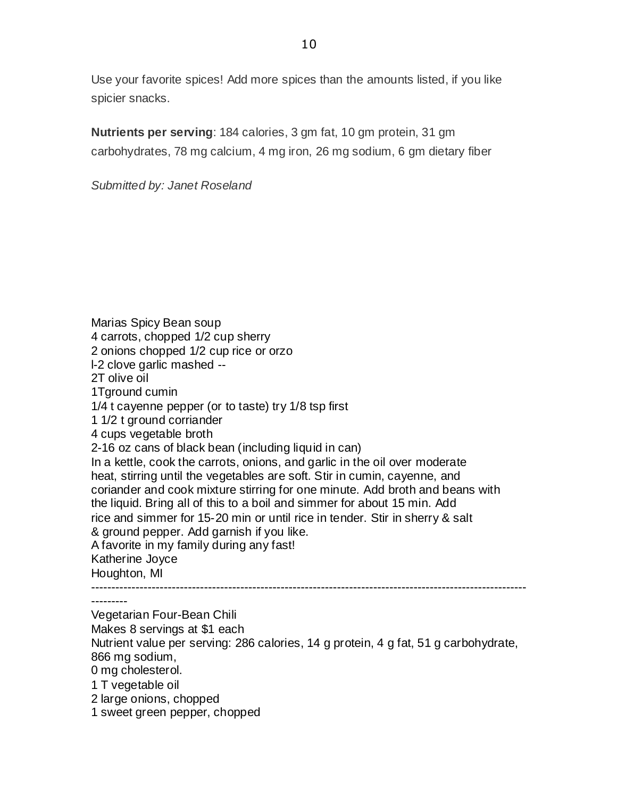Use your favorite spices! Add more spices than the amounts listed, if you like spicier snacks.

**Nutrients per serving**: 184 calories, 3 gm fat, 10 gm protein, 31 gm carbohydrates, 78 mg calcium, 4 mg iron, 26 mg sodium, 6 gm dietary fiber

*Submitted by: Janet Roseland*

Marias Spicy Bean soup 4 carrots, chopped 1/2 cup sherry 2 onions chopped 1/2 cup rice or orzo l-2 clove garlic mashed -- 2T olive oil 1Tground cumin 1/4 t cayenne pepper (or to taste) try 1/8 tsp first 1 1/2 t ground corriander 4 cups vegetable broth 2-16 oz cans of black bean (including liquid in can) In a kettle, cook the carrots, onions, and garlic in the oil over moderate heat, stirring until the vegetables are soft. Stir in cumin, cayenne, and coriander and cook mixture stirring for one minute. Add broth and beans with the liquid. Bring all of this to a boil and simmer for about 15 min. Add rice and simmer for 15-20 min or until rice in tender. Stir in sherry & salt & ground pepper. Add garnish if you like. A favorite in my family during any fast! Katherine Joyce Houghton, MI ------------------------------------------------------------------------------------------------------------ --------- Vegetarian Four-Bean Chili Makes 8 servings at \$1 each Nutrient value per serving: 286 calories, 14 g protein, 4 g fat, 51 g carbohydrate, 866 mg sodium, 0 mg cholesterol. 1 T vegetable oil 2 large onions, chopped 1 sweet green pepper, chopped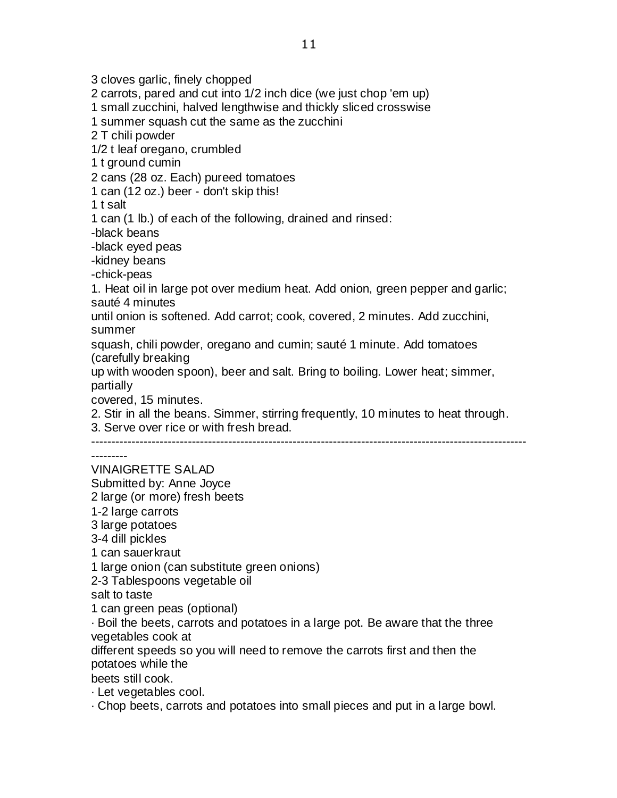3 cloves garlic, finely chopped 2 carrots, pared and cut into 1/2 inch dice (we just chop 'em up) 1 small zucchini, halved lengthwise and thickly sliced crosswise 1 summer squash cut the same as the zucchini 2 T chili powder 1/2 t leaf oregano, crumbled 1 t ground cumin 2 cans (28 oz. Each) pureed tomatoes 1 can (12 oz.) beer - don't skip this! 1 t salt 1 can (1 lb.) of each of the following, drained and rinsed: -black beans -black eyed peas -kidney beans -chick-peas 1. Heat oil in large pot over medium heat. Add onion, green pepper and garlic; sauté 4 minutes until onion is softened. Add carrot; cook, covered, 2 minutes. Add zucchini, summer squash, chili powder, oregano and cumin; sauté 1 minute. Add tomatoes (carefully breaking up with wooden spoon), beer and salt. Bring to boiling. Lower heat; simmer, partially covered, 15 minutes. 2. Stir in all the beans. Simmer, stirring frequently, 10 minutes to heat through. 3. Serve over rice or with fresh bread. ------------------------------------------------------------------------------------------------------------ --------- VINAIGRETTE SALAD Submitted by: Anne Joyce 2 large (or more) fresh beets 1-2 large carrots 3 large potatoes 3-4 dill pickles 1 can sauerkraut 1 large onion (can substitute green onions) 2-3 Tablespoons vegetable oil salt to taste 1 can green peas (optional) · Boil the beets, carrots and potatoes in a large pot. Be aware that the three vegetables cook at different speeds so you will need to remove the carrots first and then the potatoes while the beets still cook. · Let vegetables cool. · Chop beets, carrots and potatoes into small pieces and put in a large bowl.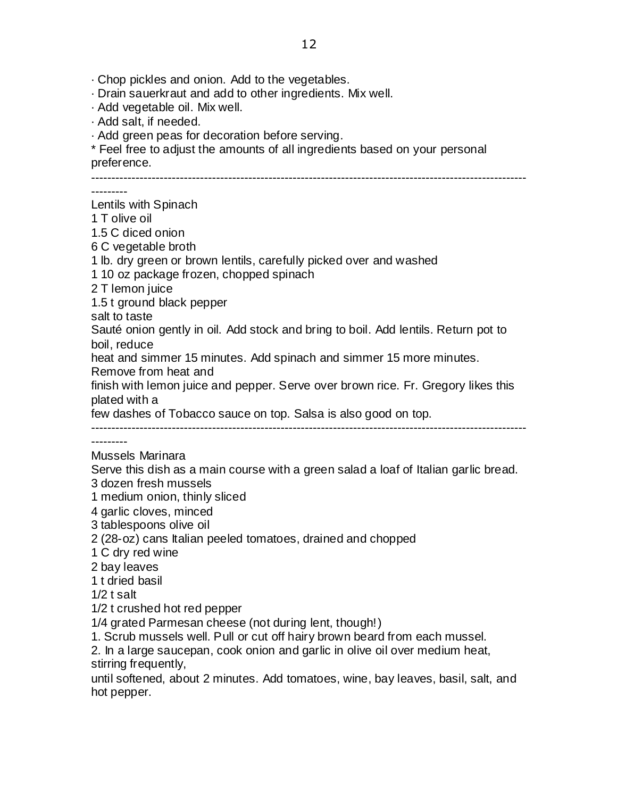· Chop pickles and onion. Add to the vegetables.

· Drain sauerkraut and add to other ingredients. Mix well.

· Add vegetable oil. Mix well.

· Add salt, if needed.

· Add green peas for decoration before serving.

\* Feel free to adjust the amounts of all ingredients based on your personal preference.

------------------------------------------------------------------------------------------------------------

---------

Lentils with Spinach 1 T olive oil

1.5 C diced onion

6 C vegetable broth

1 lb. dry green or brown lentils, carefully picked over and washed

1 10 oz package frozen, chopped spinach

2 T lemon juice

1.5 t ground black pepper

salt to taste

Sauté onion gently in oil. Add stock and bring to boil. Add lentils. Return pot to boil, reduce

heat and simmer 15 minutes. Add spinach and simmer 15 more minutes.

Remove from heat and

finish with lemon juice and pepper. Serve over brown rice. Fr. Gregory likes this plated with a

few dashes of Tobacco sauce on top. Salsa is also good on top.

------------------------------------------------------------------------------------------------------------

---------

#### Mussels Marinara

Serve this dish as a main course with a green salad a loaf of Italian garlic bread.

3 dozen fresh mussels

- 1 medium onion, thinly sliced
- 4 garlic cloves, minced
- 3 tablespoons olive oil
- 2 (28-oz) cans Italian peeled tomatoes, drained and chopped

1 C dry red wine

2 bay leaves

1 t dried basil

1/2 t salt

1/2 t crushed hot red pepper

1/4 grated Parmesan cheese (not during lent, though!)

1. Scrub mussels well. Pull or cut off hairy brown beard from each mussel.

2. In a large saucepan, cook onion and garlic in olive oil over medium heat, stirring frequently,

until softened, about 2 minutes. Add tomatoes, wine, bay leaves, basil, salt, and hot pepper.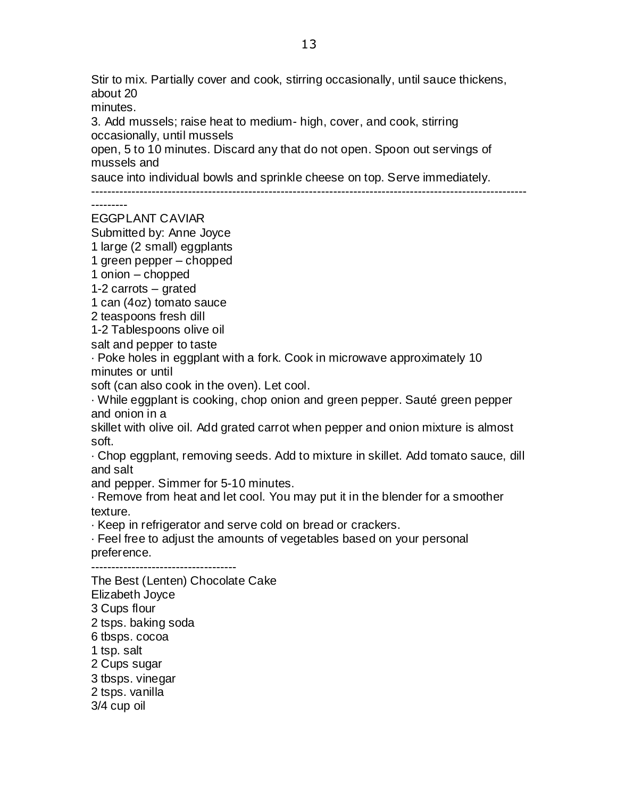Stir to mix. Partially cover and cook, stirring occasionally, until sauce thickens, about 20

minutes.

3. Add mussels; raise heat to medium- high, cover, and cook, stirring occasionally, until mussels

open, 5 to 10 minutes. Discard any that do not open. Spoon out servings of mussels and

sauce into individual bowls and sprinkle cheese on top. Serve immediately.

------------------------------------------------------------------------------------------------------------

---------

EGGPLANT CAVIAR

Submitted by: Anne Joyce

1 large (2 small) eggplants

1 green pepper – chopped

1 onion – chopped

1-2 carrots – grated

1 can (4oz) tomato sauce

2 teaspoons fresh dill

1-2 Tablespoons olive oil

salt and pepper to taste

· Poke holes in eggplant with a fork. Cook in microwave approximately 10 minutes or until

soft (can also cook in the oven). Let cool.

· While eggplant is cooking, chop onion and green pepper. Sauté green pepper and onion in a

skillet with olive oil. Add grated carrot when pepper and onion mixture is almost soft.

· Chop eggplant, removing seeds. Add to mixture in skillet. Add tomato sauce, dill and salt

and pepper. Simmer for 5-10 minutes.

· Remove from heat and let cool. You may put it in the blender for a smoother texture.

· Keep in refrigerator and serve cold on bread or crackers.

· Feel free to adjust the amounts of vegetables based on your personal preference.

------------------------------------

The Best (Lenten) Chocolate Cake Elizabeth Joyce 3 Cups flour 2 tsps. baking soda 6 tbsps. cocoa 1 tsp. salt 2 Cups sugar 3 tbsps. vinegar 2 tsps. vanilla 3/4 cup oil